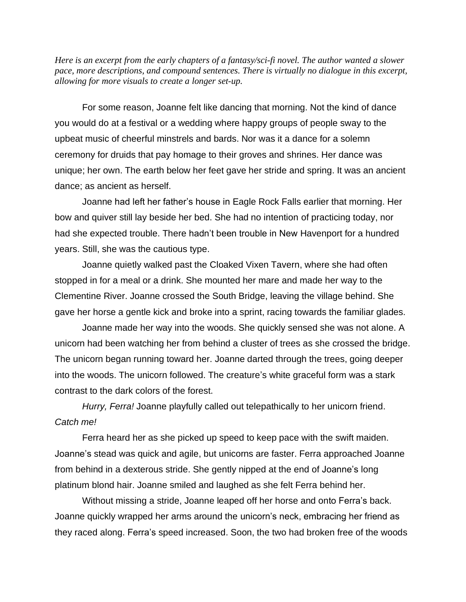*Here is an excerpt from the early chapters of a fantasy/sci-fi novel. The author wanted a slower pace, more descriptions, and compound sentences. There is virtually no dialogue in this excerpt, allowing for more visuals to create a longer set-up.*

For some reason, Joanne felt like dancing that morning. Not the kind of dance you would do at a festival or a wedding where happy groups of people sway to the upbeat music of cheerful minstrels and bards. Nor was it a dance for a solemn ceremony for druids that pay homage to their groves and shrines. Her dance was unique; her own. The earth below her feet gave her stride and spring. It was an ancient dance; as ancient as herself.

Joanne had left her father's house in Eagle Rock Falls earlier that morning. Her bow and quiver still lay beside her bed. She had no intention of practicing today, nor had she expected trouble. There hadn't been trouble in New Havenport for a hundred years. Still, she was the cautious type.

Joanne quietly walked past the Cloaked Vixen Tavern, where she had often stopped in for a meal or a drink. She mounted her mare and made her way to the Clementine River. Joanne crossed the South Bridge, leaving the village behind. She gave her horse a gentle kick and broke into a sprint, racing towards the familiar glades.

Joanne made her way into the woods. She quickly sensed she was not alone. A unicorn had been watching her from behind a cluster of trees as she crossed the bridge. The unicorn began running toward her. Joanne darted through the trees, going deeper into the woods. The unicorn followed. The creature's white graceful form was a stark contrast to the dark colors of the forest.

*Hurry, Ferra!* Joanne playfully called out telepathically to her unicorn friend. *Catch me!*

Ferra heard her as she picked up speed to keep pace with the swift maiden. Joanne's stead was quick and agile, but unicorns are faster. Ferra approached Joanne from behind in a dexterous stride. She gently nipped at the end of Joanne's long platinum blond hair. Joanne smiled and laughed as she felt Ferra behind her.

Without missing a stride, Joanne leaped off her horse and onto Ferra's back. Joanne quickly wrapped her arms around the unicorn's neck, embracing her friend as they raced along. Ferra's speed increased. Soon, the two had broken free of the woods